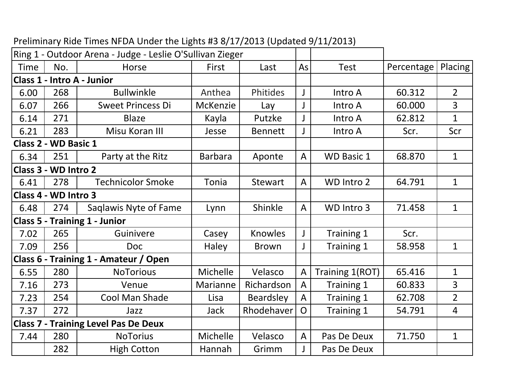|                                             |                      | Ring 1 - Outdoor Arena - Judge - Leslie O'Sullivan Zieger |                 |                  |                |                   |            |                |
|---------------------------------------------|----------------------|-----------------------------------------------------------|-----------------|------------------|----------------|-------------------|------------|----------------|
| <b>Time</b>                                 | No.                  | <b>Horse</b>                                              | First<br>Last   |                  | As             | <b>Test</b>       | Percentage | Placing        |
| Class 1 - Intro A - Junior                  |                      |                                                           |                 |                  |                |                   |            |                |
| 6.00                                        | 268                  | <b>Bullwinkle</b>                                         | Anthea          | Phitides         | Intro A<br>J   |                   | 60.312     | $\overline{2}$ |
| 6.07                                        | 266                  | <b>Sweet Princess Di</b>                                  | <b>McKenzie</b> | Lay              | $\mathsf{I}$   | Intro A           | 60.000     | $\overline{3}$ |
| 6.14                                        | 271                  | <b>Blaze</b>                                              | Kayla           | Putzke           |                | Intro A           | 62.812     | $\mathbf{1}$   |
| 6.21                                        | 283                  | Misu Koran III                                            | Jesse           | <b>Bennett</b>   |                | Intro A           | Scr.       | Scr            |
|                                             | Class 2 - WD Basic 1 |                                                           |                 |                  |                |                   |            |                |
| 6.34                                        | 251                  | Party at the Ritz                                         | <b>Barbara</b>  | Aponte           | $\mathsf{A}$   | <b>WD Basic 1</b> | 68.870     | $\mathbf{1}$   |
| Class 3 - WD Intro 2                        |                      |                                                           |                 |                  |                |                   |            |                |
| 6.41                                        | 278                  | <b>Technicolor Smoke</b>                                  | Tonia           | <b>Stewart</b>   | $\mathsf{A}$   | WD Intro 2        | 64.791     | $\mathbf{1}$   |
| Class 4 - WD Intro 3                        |                      |                                                           |                 |                  |                |                   |            |                |
| 6.48                                        | 274                  | Saglawis Nyte of Fame                                     | Lynn            | Shinkle          | $\overline{A}$ | WD Intro 3        | 71.458     | $\mathbf{1}$   |
| <b>Class 5 - Training 1 - Junior</b>        |                      |                                                           |                 |                  |                |                   |            |                |
| 7.02                                        | 265                  | Guinivere                                                 | Casey           | <b>Knowles</b>   | J              | Training 1        | Scr.       |                |
| 7.09                                        | 256                  | <b>Doc</b>                                                | Haley           | <b>Brown</b>     | J              | Training 1        | 58.958     | $\mathbf{1}$   |
|                                             |                      | Class 6 - Training 1 - Amateur / Open                     |                 |                  |                |                   |            |                |
| 6.55                                        | 280                  | <b>NoTorious</b>                                          | Michelle        | Velasco          | A              | Training 1(ROT)   | 65.416     | $\mathbf 1$    |
| 7.16                                        | 273                  | Venue                                                     | Marianne        | Richardson       | $\overline{A}$ | Training 1        | 60.833     | 3              |
| 7.23                                        | 254                  | Cool Man Shade                                            | Lisa            | <b>Beardsley</b> | A              | Training 1        | 62.708     | $\overline{2}$ |
| 7.37                                        | 272                  | Jazz                                                      | <b>Jack</b>     | Rhodehaver       | $\overline{O}$ | Training 1        | 54.791     | $\overline{4}$ |
| <b>Class 7 - Training Level Pas De Deux</b> |                      |                                                           |                 |                  |                |                   |            |                |
| 7.44                                        | 280                  | <b>NoTorius</b>                                           | Michelle        | Velasco          | $\overline{A}$ | Pas De Deux       | 71.750     | $\mathbf{1}$   |
|                                             | 282                  | <b>High Cotton</b>                                        | Hannah          | Grimm            |                | Pas De Deux       |            |                |
|                                             |                      |                                                           |                 |                  |                |                   |            |                |

## Preliminary Ride Times NFDA Under the Lights #3 8/17/2013 (Updated 9/11/2013)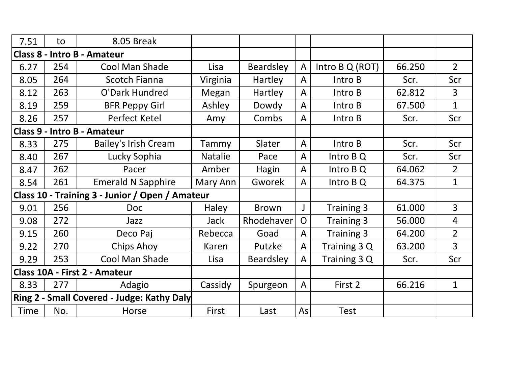| 7.51                                            | to  | 8.05 Break                         |                |                  |                |                 |        |                |
|-------------------------------------------------|-----|------------------------------------|----------------|------------------|----------------|-----------------|--------|----------------|
| <b>Class 8 - Intro B - Amateur</b>              |     |                                    |                |                  |                |                 |        |                |
| 6.27                                            | 254 | <b>Cool Man Shade</b>              | Lisa           | <b>Beardsley</b> | $\overline{A}$ | Intro B Q (ROT) | 66.250 | $\overline{2}$ |
| 8.05                                            | 264 | <b>Scotch Fianna</b>               | Virginia       | Hartley          | A              | Intro B         | Scr.   | Scr            |
| 8.12                                            | 263 | O'Dark Hundred                     | Megan          | Hartley          | A              | Intro B         | 62.812 | $\overline{3}$ |
| 8.19                                            | 259 | <b>BFR Peppy Girl</b>              | Ashley         | Dowdy            | A              | Intro B         | 67.500 | $\mathbf{1}$   |
| 8.26                                            | 257 | Perfect Ketel                      | Amy            | Combs            | A              | Intro B         | Scr.   | Scr            |
|                                                 |     | <b>Class 9 - Intro B - Amateur</b> |                |                  |                |                 |        |                |
| 8.33                                            | 275 | <b>Bailey's Irish Cream</b>        | Tammy          | Slater           | A              | Intro B         | Scr.   | Scr            |
| 8.40                                            | 267 | Lucky Sophia                       | <b>Natalie</b> | Pace             | A              | Intro B Q       | Scr.   | Scr            |
| 8.47                                            | 262 | Pacer                              | Amber          | Hagin            | A              | Intro B Q       | 64.062 | $\overline{2}$ |
| 8.54                                            | 261 | <b>Emerald N Sapphire</b>          | Mary Ann       | Gworek           | A              | Intro B Q       | 64.375 | $\mathbf{1}$   |
| Class 10 - Training 3 - Junior / Open / Amateur |     |                                    |                |                  |                |                 |        |                |
| 9.01                                            | 256 | <b>Doc</b>                         | Haley          | <b>Brown</b>     | $\mathsf{I}$   | Training 3      | 61.000 | $\overline{3}$ |
| 9.08                                            | 272 | Jazz                               | <b>Jack</b>    | Rhodehaver       | $\Omega$       | Training 3      | 56.000 | $\overline{4}$ |
| 9.15                                            | 260 | Deco Paj                           | Rebecca        | Goad             | A              | Training 3      | 64.200 | $\overline{2}$ |
| 9.22                                            | 270 | <b>Chips Ahoy</b>                  | Karen          | Putzke           | A              | Training 3 Q    | 63.200 | $\overline{3}$ |
| 9.29                                            | 253 | Cool Man Shade                     | Lisa           | <b>Beardsley</b> | A              | Training 3 Q    | Scr.   | Scr            |
| Class 10A - First 2 - Amateur                   |     |                                    |                |                  |                |                 |        |                |
| 8.33                                            | 277 | Adagio                             | Cassidy        | Spurgeon         | A              | First 2         | 66.216 | $\mathbf{1}$   |
| Ring 2 - Small Covered - Judge: Kathy Daly      |     |                                    |                |                  |                |                 |        |                |
| Time                                            | No. | Horse                              | First          | Last             | As             | <b>Test</b>     |        |                |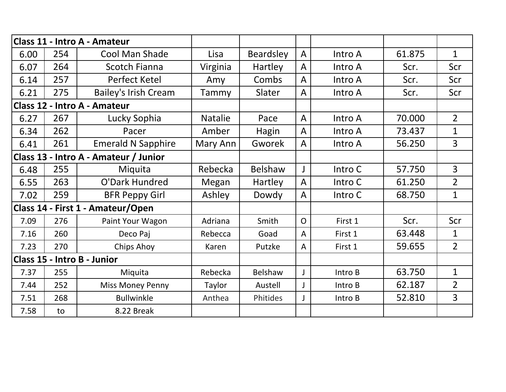| Class 11 - Intro A - Amateur          |     |                                   |                |                  |                |         |        |                |
|---------------------------------------|-----|-----------------------------------|----------------|------------------|----------------|---------|--------|----------------|
| 6.00                                  | 254 | <b>Cool Man Shade</b>             | Lisa           | <b>Beardsley</b> | $\mathsf{A}$   | Intro A | 61.875 | $\mathbf{1}$   |
| 6.07                                  | 264 | <b>Scotch Fianna</b>              | Virginia       | Hartley          | A              | Intro A | Scr.   | Scr            |
| 6.14                                  | 257 | Perfect Ketel                     | Amy            | Combs            | $\mathsf{A}$   | Intro A | Scr.   | Scr            |
| 6.21                                  | 275 | <b>Bailey's Irish Cream</b>       | Tammy          | Slater           | A              | Intro A | Scr.   | Scr            |
| Class 12 - Intro A - Amateur          |     |                                   |                |                  |                |         |        |                |
| 6.27                                  | 267 | Lucky Sophia                      | <b>Natalie</b> | Pace             | $\overline{A}$ | Intro A | 70.000 | $\overline{2}$ |
| 6.34                                  | 262 | Pacer                             | Amber          | Hagin            | A              | Intro A | 73.437 | $\mathbf{1}$   |
| 6.41                                  | 261 | <b>Emerald N Sapphire</b>         | Mary Ann       | Gworek           | A              | Intro A | 56.250 | $\overline{3}$ |
| Class 13 - Intro A - Amateur / Junior |     |                                   |                |                  |                |         |        |                |
| 6.48                                  | 255 | Miquita                           | Rebecka        | Belshaw          | $\mathsf{I}$   | Intro C | 57.750 | $\overline{3}$ |
| 6.55                                  | 263 | O'Dark Hundred                    | Megan          | Hartley          | A              | Intro C | 61.250 | $\overline{2}$ |
| 7.02                                  | 259 | <b>BFR Peppy Girl</b>             | Ashley         | Dowdy            | $\mathsf{A}$   | Intro C | 68.750 | $\mathbf{1}$   |
|                                       |     | Class 14 - First 1 - Amateur/Open |                |                  |                |         |        |                |
| 7.09                                  | 276 | Paint Your Wagon                  | Adriana        | Smith            | $\overline{O}$ | First 1 | Scr.   | Scr            |
| 7.16                                  | 260 | Deco Paj                          | Rebecca        | Goad             | $\mathsf{A}$   | First 1 | 63.448 | $\mathbf{1}$   |
| 7.23                                  | 270 | Chips Ahoy                        | Karen          | Putzke           | A              | First 1 | 59.655 | $\overline{2}$ |
| Class 15 - Intro B - Junior           |     |                                   |                |                  |                |         |        |                |
| 7.37                                  | 255 | Miquita                           | Rebecka        | Belshaw          | $\mathbf{I}$   | Intro B | 63.750 | $\mathbf{1}$   |
| 7.44                                  | 252 | <b>Miss Money Penny</b>           | Taylor         | Austell          | J              | Intro B | 62.187 | $\overline{2}$ |
| 7.51                                  | 268 | <b>Bullwinkle</b>                 | Anthea         | Phitides         | J              | Intro B | 52.810 | $\overline{3}$ |
| 7.58                                  | to  | 8.22 Break                        |                |                  |                |         |        |                |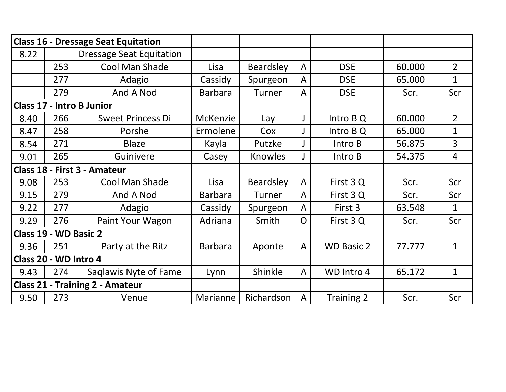|                                        |     | <b>Class 16 - Dressage Seat Equitation</b> |                 |                  |              |                   |        |                |
|----------------------------------------|-----|--------------------------------------------|-----------------|------------------|--------------|-------------------|--------|----------------|
| 8.22                                   |     | <b>Dressage Seat Equitation</b>            |                 |                  |              |                   |        |                |
|                                        | 253 | Cool Man Shade                             | Lisa            | <b>Beardsley</b> | $\mathsf{A}$ | <b>DSE</b>        | 60.000 | $\overline{2}$ |
|                                        | 277 | Adagio                                     | Cassidy         | Spurgeon         | A            | <b>DSE</b>        | 65.000 | $\mathbf{1}$   |
|                                        | 279 | And A Nod                                  | <b>Barbara</b>  | Turner           | A            | <b>DSE</b>        | Scr.   | Scr            |
|                                        |     | <b>Class 17 - Intro B Junior</b>           |                 |                  |              |                   |        |                |
| 8.40                                   | 266 | <b>Sweet Princess Di</b>                   | <b>McKenzie</b> | Lay              | J            | Intro B Q         | 60.000 | $\overline{2}$ |
| 8.47                                   | 258 | Porshe                                     | Ermolene        | Cox              |              | Intro B Q         | 65.000 | $\mathbf{1}$   |
| 8.54                                   | 271 | <b>Blaze</b>                               | Kayla           | Putzke           | J            | Intro B           | 56.875 | 3              |
| 9.01                                   | 265 | Guinivere                                  | Casey           | Knowles          | J            | Intro B           | 54.375 | 4              |
| Class 18 - First 3 - Amateur           |     |                                            |                 |                  |              |                   |        |                |
| 9.08                                   | 253 | Cool Man Shade                             | Lisa            | <b>Beardsley</b> | A            | First 3 Q         | Scr.   | Scr            |
| 9.15                                   | 279 | And A Nod                                  | <b>Barbara</b>  | <b>Turner</b>    | A            | First 3 Q         | Scr.   | Scr            |
| 9.22                                   | 277 | Adagio                                     | Cassidy         | Spurgeon         | A            | First 3           | 63.548 | $\mathbf{1}$   |
| 9.29                                   | 276 | Paint Your Wagon                           | Adriana         | Smith            | O            | First 3 Q         | Scr.   | Scr            |
| Class 19 - WD Basic 2                  |     |                                            |                 |                  |              |                   |        |                |
| 9.36                                   | 251 | Party at the Ritz                          | <b>Barbara</b>  | Aponte           | A            | <b>WD Basic 2</b> | 77.777 | $\mathbf{1}$   |
| Class 20 - WD Intro 4                  |     |                                            |                 |                  |              |                   |        |                |
| 9.43                                   | 274 | Saglawis Nyte of Fame                      | Lynn            | Shinkle          | $\mathsf{A}$ | WD Intro 4        | 65.172 | $\mathbf{1}$   |
| <b>Class 21 - Training 2 - Amateur</b> |     |                                            |                 |                  |              |                   |        |                |
| 9.50                                   | 273 | Venue                                      | Marianne        | Richardson       | A            | Training 2        | Scr.   | Scr            |